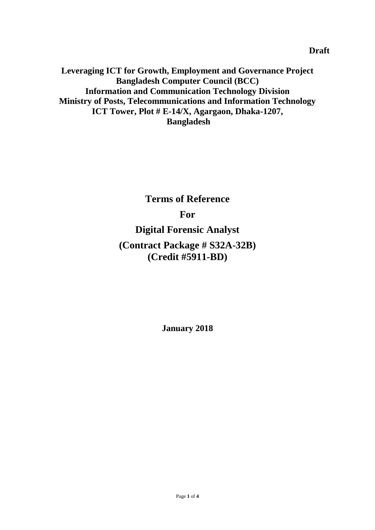**Leveraging ICT for Growth, Employment and Governance Project Bangladesh Computer Council (BCC) Information and Communication Technology Division Ministry of Posts, Telecommunications and Information Technology ICT Tower, Plot # E-14/X, Agargaon, Dhaka-1207, Bangladesh**

**Terms of Reference**

## **For**

# **Digital Forensic Analyst**

# **(Contract Package # S32A-32B) (Credit #5911-BD)**

**January 2018**

**Draft**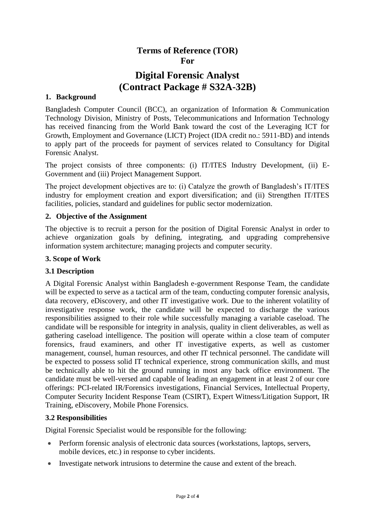## **Terms of Reference (TOR) For**

## **Digital Forensic Analyst (Contract Package # S32A-32B)**

### **1. Background**

Bangladesh Computer Council (BCC), an organization of Information & Communication Technology Division, Ministry of Posts, Telecommunications and Information Technology has received financing from the World Bank toward the cost of the Leveraging ICT for Growth, Employment and Governance (LICT) Project (IDA credit no.: 5911-BD) and intends to apply part of the proceeds for payment of services related to Consultancy for Digital Forensic Analyst.

The project consists of three components: (i) IT/ITES Industry Development, (ii) E-Government and (iii) Project Management Support.

The project development objectives are to: (i) Catalyze the growth of Bangladesh's IT/ITES industry for employment creation and export diversification; and (ii) Strengthen IT/ITES facilities, policies, standard and guidelines for public sector modernization.

## **2. Objective of the Assignment**

The objective is to recruit a person for the position of Digital Forensic Analyst in order to achieve organization goals by defining, integrating, and upgrading comprehensive information system architecture; managing projects and computer security.

## **3. Scope of Work**

## **3.1 Description**

A Digital Forensic Analyst within Bangladesh e-government Response Team, the candidate will be expected to serve as a tactical arm of the team, conducting computer forensic analysis, data recovery, eDiscovery, and other IT investigative work. Due to the inherent volatility of investigative response work, the candidate will be expected to discharge the various responsibilities assigned to their role while successfully managing a variable caseload. The candidate will be responsible for integrity in analysis, quality in client deliverables, as well as gathering caseload intelligence. The position will operate within a close team of computer forensics, fraud examiners, and other IT investigative experts, as well as customer management, counsel, human resources, and other IT technical personnel. The candidate will be expected to possess solid IT technical experience, strong communication skills, and must be technically able to hit the ground running in most any back office environment. The candidate must be well-versed and capable of leading an engagement in at least 2 of our core offerings: PCI-related IR/Forensics investigations, Financial Services, Intellectual Property, Computer Security Incident Response Team (CSIRT), Expert Witness/Litigation Support, IR Training, eDiscovery, Mobile Phone Forensics.

## **3.2 Responsibilities**

Digital Forensic Specialist would be responsible for the following:

- Perform forensic analysis of electronic data sources (workstations, laptops, servers, mobile devices, etc.) in response to cyber incidents.
- Investigate network intrusions to determine the cause and extent of the breach.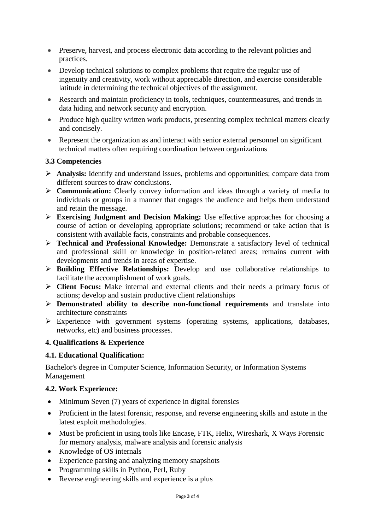- Preserve, harvest, and process electronic data according to the relevant policies and practices.
- Develop technical solutions to complex problems that require the regular use of ingenuity and creativity, work without appreciable direction, and exercise considerable latitude in determining the technical objectives of the assignment.
- Research and maintain proficiency in tools, techniques, countermeasures, and trends in data hiding and network security and encryption.
- Produce high quality written work products, presenting complex technical matters clearly and concisely.
- Represent the organization as and interact with senior external personnel on significant technical matters often requiring coordination between organizations

## **3.3 Competencies**

- **Analysis:** Identify and understand issues, problems and opportunities; compare data from different sources to draw conclusions.
- **Communication:** Clearly convey information and ideas through a variety of media to individuals or groups in a manner that engages the audience and helps them understand and retain the message.
- **Exercising Judgment and Decision Making:** Use effective approaches for choosing a course of action or developing appropriate solutions; recommend or take action that is consistent with available facts, constraints and probable consequences.
- **Technical and Professional Knowledge:** Demonstrate a satisfactory level of technical and professional skill or knowledge in position-related areas; remains current with developments and trends in areas of expertise.
- **Building Effective Relationships:** Develop and use collaborative relationships to facilitate the accomplishment of work goals.
- **Client Focus:** Make internal and external clients and their needs a primary focus of actions; develop and sustain productive client relationships
- **Demonstrated ability to describe non-functional requirements** and translate into architecture constraints
- $\triangleright$  Experience with government systems (operating systems, applications, databases, networks, etc) and business processes.

## **4. Qualifications & Experience**

## **4.1. Educational Qualification:**

Bachelor's degree in Computer Science, Information Security, or Information Systems Management

## **4.2. Work Experience:**

- Minimum Seven (7) years of experience in digital forensics
- Proficient in the latest forensic, response, and reverse engineering skills and astute in the latest exploit methodologies.
- Must be proficient in using tools like Encase, FTK, Helix, Wireshark, X Ways Forensic for memory analysis, malware analysis and forensic analysis
- Knowledge of OS internals
- Experience parsing and analyzing memory snapshots
- Programming skills in Python, Perl, Ruby
- Reverse engineering skills and experience is a plus